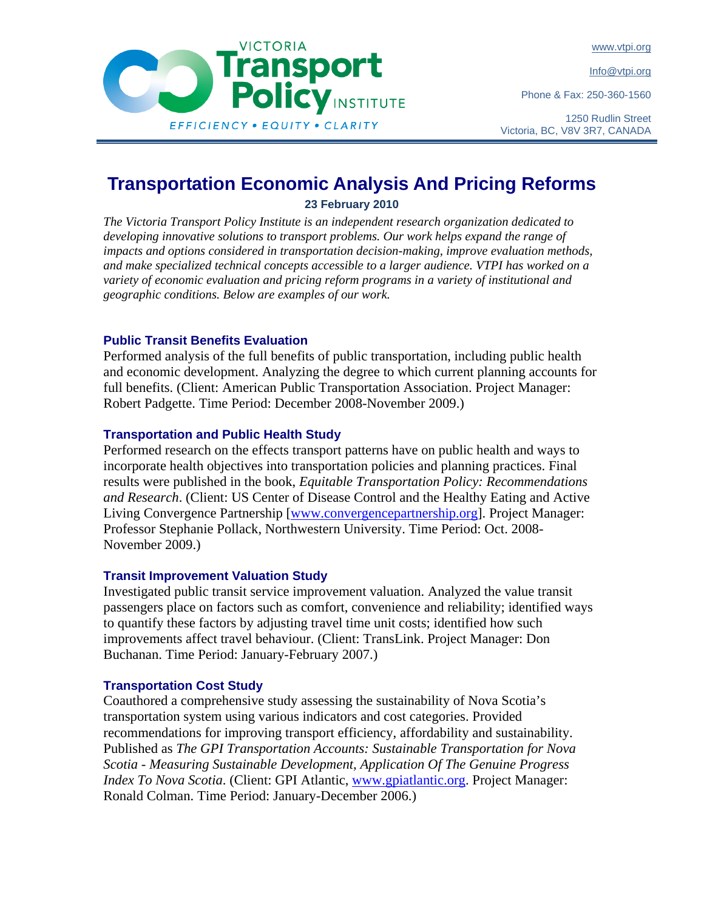www.vtpi.org

Info@vtpi.org

Phone & Fax: 250-360-1560



1250 Rudlin Street Victoria, BC, V8V 3R7, CANADA

# **Transportation Economic Analysis And Pricing Reforms 23 February 2010**

**VICTORIA** 

*The Victoria Transport Policy Institute is an independent research organization dedicated to*  developing innovative solutions to transport problems. Our work helps expand the range of *impacts and options considered in transportation decision-making, improve evaluation methods, and make specialized technical concepts accessible to a larger audience. VTPI has worked on a variety of economic evaluation and pricing reform programs in a variety of institutional and geographic conditions. Below are examples of our work.* 

# **Public Transit Benefits Evaluation**

Performed analysis of the full benefits of public transportation, including public health and economic development. Analyzing the degree to which current planning accounts for full benefits. (Client: American Public Transportation Association. Project Manager: Robert Padgette. Time Period: December 2008-November 2009.)

# **Transportation and Public Health Study**

Performed research on the effects transport patterns have on public health and ways to incorporate health objectives into transportation policies and planning practices. Final results were published in the book, *Equitable Transportation Policy: Recommendations and Research*. (Client: US Center of Disease Control and the Healthy Eating and Active Living Convergence Partnership [www.convergencepartnership.org]. Project Manager: Professor Stephanie Pollack, Northwestern University. Time Period: Oct. 2008- November 2009.)

# **Transit Improvement Valuation Study**

Investigated public transit service improvement valuation. Analyzed the value transit passengers place on factors such as comfort, convenience and reliability; identified ways to quantify these factors by adjusting travel time unit costs; identified how such improvements affect travel behaviour. (Client: TransLink. Project Manager: Don Buchanan. Time Period: January-February 2007.)

# **Transportation Cost Study**

Coauthored a comprehensive study assessing the sustainability of Nova Scotia's transportation system using various indicators and cost categories. Provided recommendations for improving transport efficiency, affordability and sustainability. Published as *The GPI Transportation Accounts: Sustainable Transportation for Nova Scotia - Measuring Sustainable Development, Application Of The Genuine Progress Index To Nova Scotia*. (Client: GPI Atlantic, www.gpiatlantic.org. Project Manager: Ronald Colman. Time Period: January-December 2006.)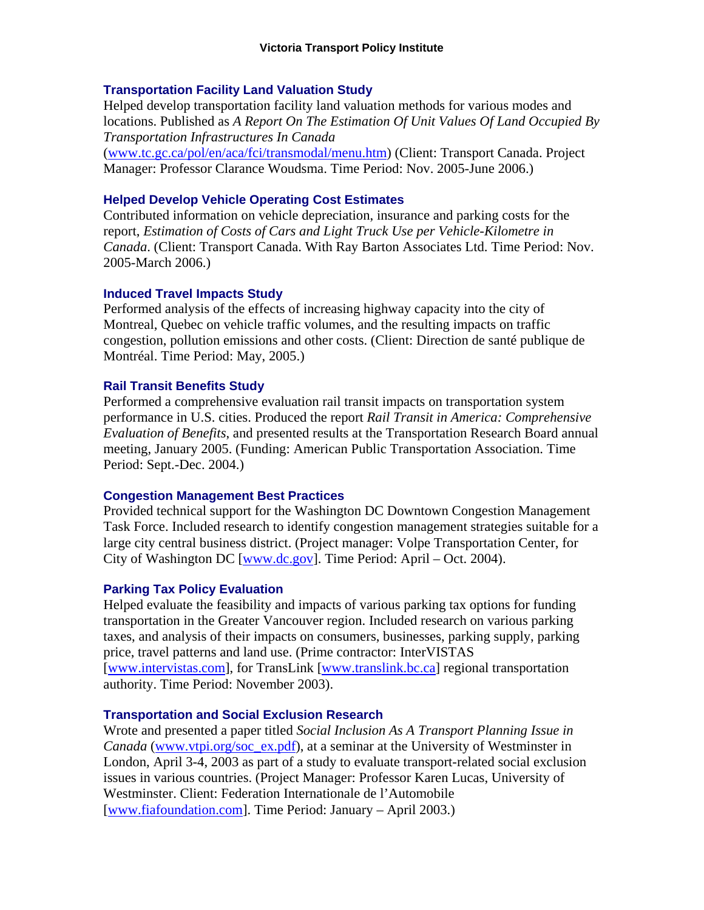### **Transportation Facility Land Valuation Study**

Helped develop transportation facility land valuation methods for various modes and locations. Published as *A Report On The Estimation Of Unit Values Of Land Occupied By Transportation Infrastructures In Canada* 

(www.tc.gc.ca/pol/en/aca/fci/transmodal/menu.htm) (Client: Transport Canada. Project Manager: Professor Clarance Woudsma. Time Period: Nov. 2005-June 2006.)

### **Helped Develop Vehicle Operating Cost Estimates**

Contributed information on vehicle depreciation, insurance and parking costs for the report, *Estimation of Costs of Cars and Light Truck Use per Vehicle-Kilometre in Canada*. (Client: Transport Canada. With Ray Barton Associates Ltd. Time Period: Nov. 2005-March 2006.)

### **Induced Travel Impacts Study**

Performed analysis of the effects of increasing highway capacity into the city of Montreal, Quebec on vehicle traffic volumes, and the resulting impacts on traffic congestion, pollution emissions and other costs. (Client: Direction de santé publique de Montréal. Time Period: May, 2005.)

### **Rail Transit Benefits Study**

Performed a comprehensive evaluation rail transit impacts on transportation system performance in U.S. cities. Produced the report *Rail Transit in America: Comprehensive Evaluation of Benefits*, and presented results at the Transportation Research Board annual meeting, January 2005. (Funding: American Public Transportation Association. Time Period: Sept.-Dec. 2004.)

#### **Congestion Management Best Practices**

Provided technical support for the Washington DC Downtown Congestion Management Task Force. Included research to identify congestion management strategies suitable for a large city central business district. (Project manager: Volpe Transportation Center, for City of Washington DC [www.dc.gov]. Time Period: April – Oct. 2004).

#### **Parking Tax Policy Evaluation**

Helped evaluate the feasibility and impacts of various parking tax options for funding transportation in the Greater Vancouver region. Included research on various parking taxes, and analysis of their impacts on consumers, businesses, parking supply, parking price, travel patterns and land use. (Prime contractor: InterVISTAS [www.intervistas.com], for TransLink [www.translink.bc.ca] regional transportation authority. Time Period: November 2003).

# **Transportation and Social Exclusion Research**

Wrote and presented a paper titled *Social Inclusion As A Transport Planning Issue in Canada* (www.vtpi.org/soc\_ex.pdf), at a seminar at the University of Westminster in London, April 3-4, 2003 as part of a study to evaluate transport-related social exclusion issues in various countries. (Project Manager: Professor Karen Lucas, University of Westminster. Client: Federation Internationale de l'Automobile [www.fiafoundation.com]. Time Period: January – April 2003.)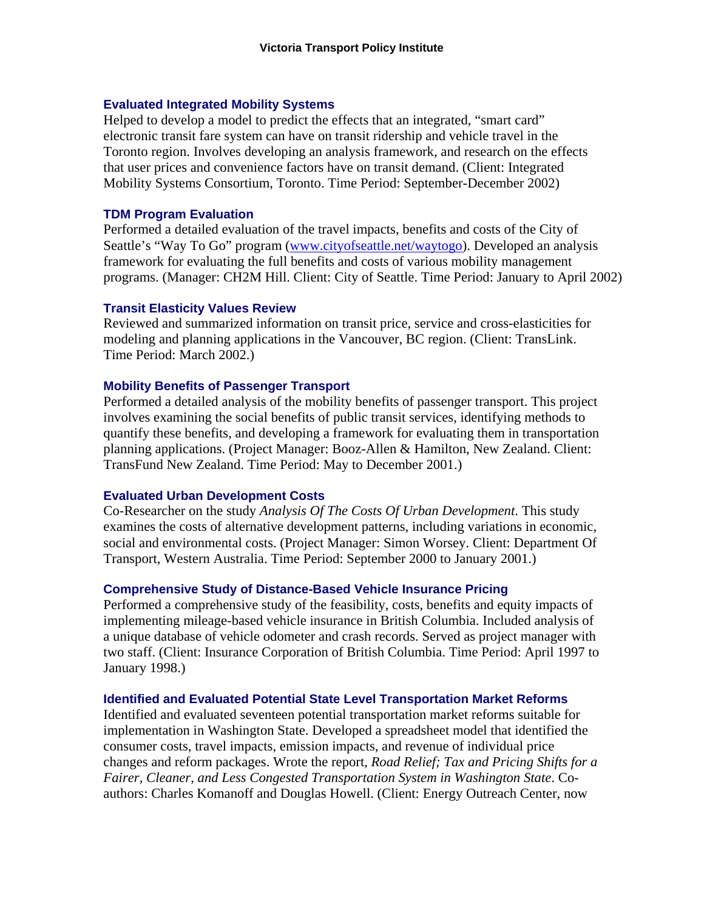### **Evaluated Integrated Mobility Systems**

Helped to develop a model to predict the effects that an integrated, "smart card" electronic transit fare system can have on transit ridership and vehicle travel in the Toronto region. Involves developing an analysis framework, and research on the effects that user prices and convenience factors have on transit demand. (Client: Integrated Mobility Systems Consortium, Toronto. Time Period: September-December 2002)

### **TDM Program Evaluation**

Performed a detailed evaluation of the travel impacts, benefits and costs of the City of Seattle's "Way To Go" program (www.cityofseattle.net/waytogo). Developed an analysis framework for evaluating the full benefits and costs of various mobility management programs. (Manager: CH2M Hill. Client: City of Seattle. Time Period: January to April 2002)

### **Transit Elasticity Values Review**

Reviewed and summarized information on transit price, service and cross-elasticities for modeling and planning applications in the Vancouver, BC region. (Client: TransLink. Time Period: March 2002.)

### **Mobility Benefits of Passenger Transport**

Performed a detailed analysis of the mobility benefits of passenger transport. This project involves examining the social benefits of public transit services, identifying methods to quantify these benefits, and developing a framework for evaluating them in transportation planning applications. (Project Manager: Booz-Allen & Hamilton, New Zealand. Client: TransFund New Zealand. Time Period: May to December 2001.)

#### **Evaluated Urban Development Costs**

Co-Researcher on the study *Analysis Of The Costs Of Urban Development*. This study examines the costs of alternative development patterns, including variations in economic, social and environmental costs. (Project Manager: Simon Worsey. Client: Department Of Transport, Western Australia. Time Period: September 2000 to January 2001.)

#### **Comprehensive Study of Distance-Based Vehicle Insurance Pricing**

Performed a comprehensive study of the feasibility, costs, benefits and equity impacts of implementing mileage-based vehicle insurance in British Columbia. Included analysis of a unique database of vehicle odometer and crash records. Served as project manager with two staff. (Client: Insurance Corporation of British Columbia. Time Period: April 1997 to January 1998.)

# **Identified and Evaluated Potential State Level Transportation Market Reforms**

Identified and evaluated seventeen potential transportation market reforms suitable for implementation in Washington State. Developed a spreadsheet model that identified the consumer costs, travel impacts, emission impacts, and revenue of individual price changes and reform packages. Wrote the report, *Road Relief; Tax and Pricing Shifts for a Fairer, Cleaner, and Less Congested Transportation System in Washington State*. Coauthors: Charles Komanoff and Douglas Howell. (Client: Energy Outreach Center, now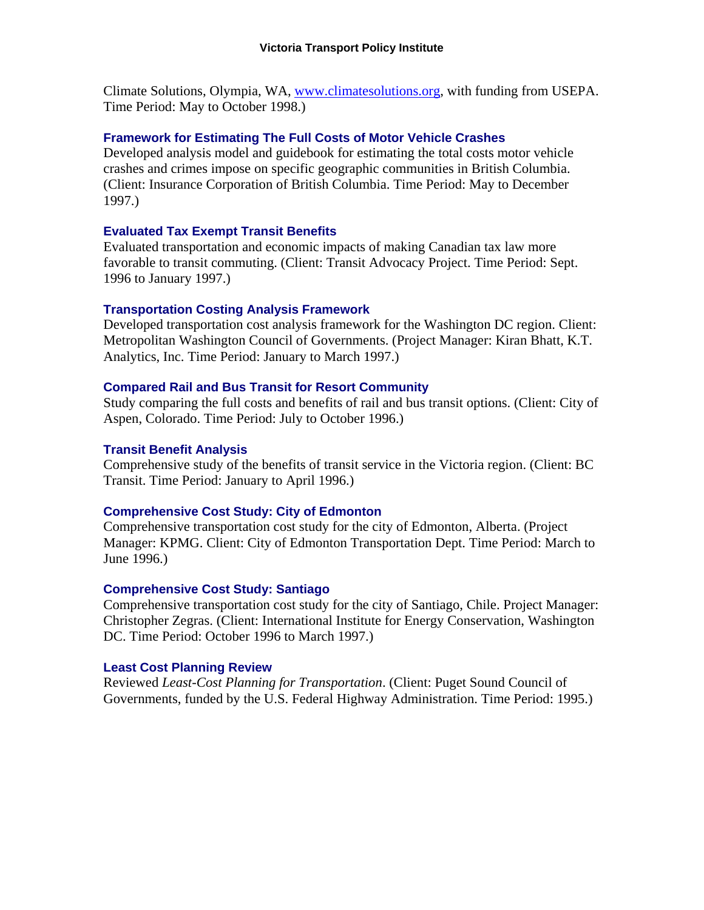Climate Solutions, Olympia, WA, www.climatesolutions.org, with funding from USEPA. Time Period: May to October 1998.)

### **Framework for Estimating The Full Costs of Motor Vehicle Crashes**

Developed analysis model and guidebook for estimating the total costs motor vehicle crashes and crimes impose on specific geographic communities in British Columbia. (Client: Insurance Corporation of British Columbia. Time Period: May to December 1997.)

### **Evaluated Tax Exempt Transit Benefits**

Evaluated transportation and economic impacts of making Canadian tax law more favorable to transit commuting. (Client: Transit Advocacy Project. Time Period: Sept. 1996 to January 1997.)

### **Transportation Costing Analysis Framework**

Developed transportation cost analysis framework for the Washington DC region. Client: Metropolitan Washington Council of Governments. (Project Manager: Kiran Bhatt, K.T. Analytics, Inc. Time Period: January to March 1997.)

### **Compared Rail and Bus Transit for Resort Community**

Study comparing the full costs and benefits of rail and bus transit options. (Client: City of Aspen, Colorado. Time Period: July to October 1996.)

### **Transit Benefit Analysis**

Comprehensive study of the benefits of transit service in the Victoria region. (Client: BC Transit. Time Period: January to April 1996.)

#### **Comprehensive Cost Study: City of Edmonton**

Comprehensive transportation cost study for the city of Edmonton, Alberta. (Project Manager: KPMG. Client: City of Edmonton Transportation Dept. Time Period: March to June 1996.)

#### **Comprehensive Cost Study: Santiago**

Comprehensive transportation cost study for the city of Santiago, Chile. Project Manager: Christopher Zegras. (Client: International Institute for Energy Conservation, Washington DC. Time Period: October 1996 to March 1997.)

# **Least Cost Planning Review**

Reviewed *Least-Cost Planning for Transportation*. (Client: Puget Sound Council of Governments, funded by the U.S. Federal Highway Administration. Time Period: 1995.)